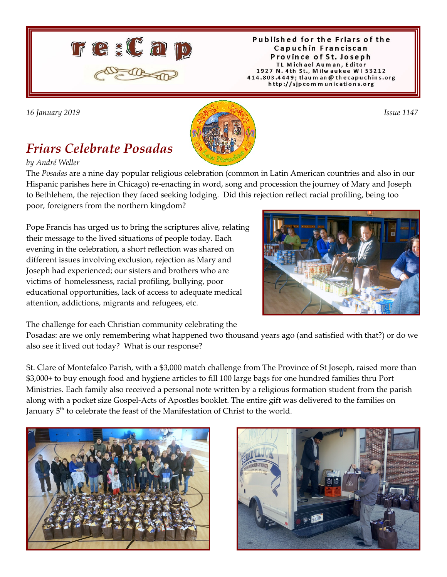

#### Published for the Friars of the Capuchin Franciscan Province of St. Joseph TL Michael Auman, Editor 1927 N. 4th St., Milwaukee W153212 414.803.4449; tlaum an @ thecapuchins.org http://sjpcommunications.org

*16 January 2019 Issue 1147* 

# *Friars Celebrate Posadas*

*by André Weller*



Pope Francis has urged us to bring the scriptures alive, relating their message to the lived situations of people today. Each evening in the celebration, a short reflection was shared on different issues involving exclusion, rejection as Mary and Joseph had experienced; our sisters and brothers who are victims of homelessness, racial profiling, bullying, poor educational opportunities, lack of access to adequate medical attention, addictions, migrants and refugees, etc.

The challenge for each Christian community celebrating the

Posadas: are we only remembering what happened two thousand years ago (and satisfied with that?) or do we also see it lived out today? What is our response?

St. Clare of Montefalco Parish, with a \$3,000 match challenge from The Province of St Joseph, raised more than \$3,000+ to buy enough food and hygiene articles to fill 100 large bags for one hundred families thru Port Ministries. Each family also received a personal note written by a religious formation student from the parish along with a pocket size Gospel-Acts of Apostles booklet. The entire gift was delivered to the families on January 5<sup>th</sup> to celebrate the feast of the Manifestation of Christ to the world.



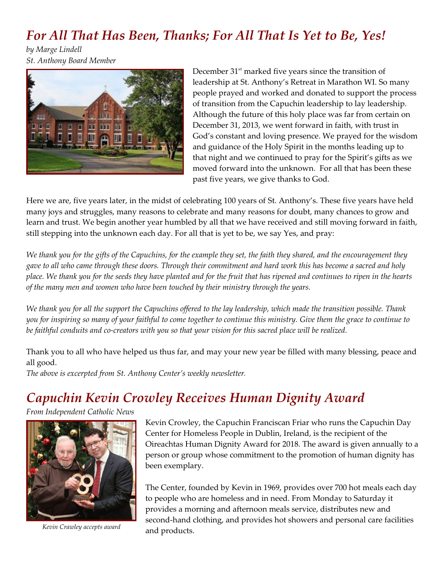#### *For All That Has Been, Thanks; For All That Is Yet to Be, Yes!*

*by Marge Lindell St. Anthony Board Member*



December  $31<sup>st</sup>$  marked five years since the transition of leadership at St. Anthony's Retreat in Marathon WI. So many people prayed and worked and donated to support the process of transition from the Capuchin leadership to lay leadership. Although the future of this holy place was far from certain on December 31, 2013, we went forward in faith, with trust in God's constant and loving presence. We prayed for the wisdom and guidance of the Holy Spirit in the months leading up to that night and we continued to pray for the Spirit's gifts as we moved forward into the unknown. For all that has been these past five years, we give thanks to God.

Here we are, five years later, in the midst of celebrating 100 years of St. Anthony's. These five years have held many joys and struggles, many reasons to celebrate and many reasons for doubt, many chances to grow and learn and trust. We begin another year humbled by all that we have received and still moving forward in faith, still stepping into the unknown each day. For all that is yet to be, we say Yes, and pray:

*We thank you for the gifts of the Capuchins, for the example they set, the faith they shared, and the encouragement they gave to all who came through these doors. Through their commitment and hard work this has become a sacred and holy place. We thank you for the seeds they have planted and for the fruit that has ripened and continues to ripen in the hearts of the many men and women who have been touched by their ministry through the years.*

*We thank you for all the support the Capuchins offered to the lay leadership, which made the transition possible. Thank you for inspiring so many of your faithful to come together to continue this ministry. Give them the grace to continue to be faithful conduits and co-creators with you so that your vision for this sacred place will be realized.*

Thank you to all who have helped us thus far, and may your new year be filled with many blessing, peace and all good.

*The above is excerpted from St. Anthony Center's weekly newsletter.*

## *Capuchin Kevin Crowley Receives Human Dignity Award*

*From Independent Catholic News*

![](_page_1_Picture_11.jpeg)

*Kevin Crawley accepts award*

Kevin Crowley, the Capuchin Franciscan Friar who runs the Capuchin Day Center for Homeless People in Dublin, Ireland, is the recipient of the Oireachtas Human Dignity Award for 2018. The award is given annually to a person or group whose commitment to the promotion of human dignity has been exemplary.

The Center, founded by Kevin in 1969, provides over 700 hot meals each day to people who are homeless and in need. From Monday to Saturday it provides a morning and afternoon meals service, distributes new and second-hand clothing, and provides hot showers and personal care facilities and products.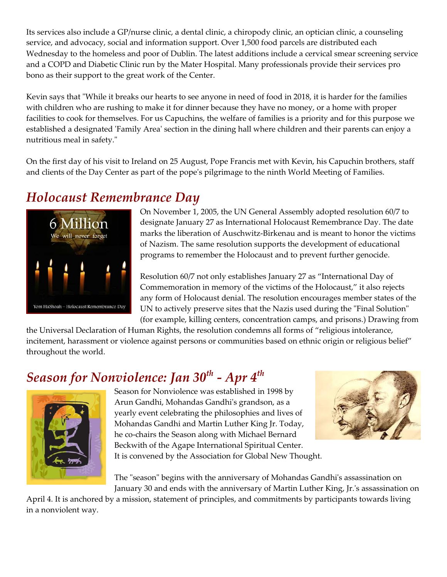Its services also include a GP/nurse clinic, a dental clinic, a chiropody clinic, an optician clinic, a counseling service, and advocacy, social and information support. Over 1,500 food parcels are distributed each Wednesday to the homeless and poor of Dublin. The latest additions include a cervical smear screening service and a COPD and Diabetic Clinic run by the Mater Hospital. Many professionals provide their services pro bono as their support to the great work of the Center.

Kevin says that "While it breaks our hearts to see anyone in need of food in 2018, it is harder for the families with children who are rushing to make it for dinner because they have no money, or a home with proper facilities to cook for themselves. For us Capuchins, the welfare of families is a priority and for this purpose we established a designated 'Family Area' section in the dining hall where children and their parents can enjoy a nutritious meal in safety."

On the first day of his visit to Ireland on 25 August, Pope Francis met with Kevin, his Capuchin brothers, staff and clients of the Day Center as part of the pope's pilgrimage to the ninth World Meeting of Families.

### *Holocaust Remembrance Day*

![](_page_2_Picture_4.jpeg)

On November 1, 2005, the UN General Assembly adopted resolution 60/7 to designate January 27 as International Holocaust Remembrance Day. The date marks the liberation of Auschwitz-Birkenau and is meant to honor the victims of Nazism. The same resolution supports the development of educational programs to remember the Holocaust and to prevent further genocide.

Resolution 60/7 not only establishes January 27 as "International Day of Commemoration in memory of the victims of the Holocaust," it also rejects any form of Holocaust denial. The resolution encourages member states of the UN to actively preserve sites that the Nazis used during the "Final Solution" (for example, killing centers, concentration camps, and prisons.) Drawing from

the Universal Declaration of Human Rights, the resolution condemns all forms of "religious intolerance, incitement, harassment or violence against persons or communities based on ethnic origin or religious belief" throughout the world.

# *Season for Nonviolence: Jan 30th - Apr 4th*

![](_page_2_Picture_9.jpeg)

Season for Nonviolence was established in 1998 by Arun Gandhi, Mohandas Gandhi's grandson, as a yearly event celebrating the philosophies and lives of Mohandas Gandhi and Martin Luther King Jr. Today, he co-chairs the Season along with Michael Bernard Beckwith of the Agape International Spiritual Center. It is convened by the Association for Global New Thought.

![](_page_2_Picture_11.jpeg)

The "season" begins with the anniversary of Mohandas Gandhi's assassination on January 30 and ends with the anniversary of Martin Luther King, Jr.'s assassination on

April 4. It is anchored by a mission, statement of principles, and commitments by participants towards living in a nonviolent way.